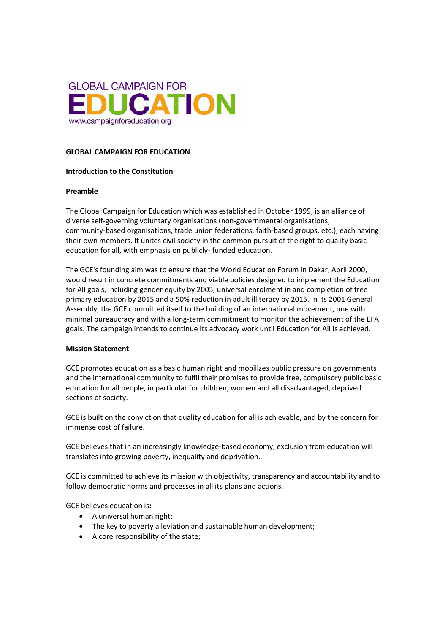

#### **GLOBAL CAMPAIGN FOR EDUCATION**

#### **Introduction to the Constitution**

#### **Preamble**

The Global Campaign for Education which was established in October 1999, is an alliance of diverse self-governing voluntary organisations (non-governmental organisations, community-based organisations, trade union federations, faith-based groups, etc.), each having their own members. It unites civil society in the common pursuit of the right to quality basic education for all, with emphasis on publicly- funded education.

The GCE's founding aim was to ensure that the World Education Forum in Dakar, April 2000, would result in concrete commitments and viable policies designed to implement the Education for All goals, including gender equity by 2005, universal enrolment in and completion of free primary education by 2015 and a 50% reduction in adult illiteracy by 2015. In its 2001 General Assembly, the GCE committed itself to the building of an international movement, one with minimal bureaucracy and with a long-term commitment to monitor the achievement of the EFA goals. The campaign intends to continue its advocacy work until Education for All is achieved.

#### **Mission Statement**

GCE promotes education as a basic human right and mobilizes public pressure on governments and the international community to fulfil their promises to provide free, compulsory public basic education for all people, in particular for children, women and all disadvantaged, deprived sections of society.

GCE is built on the conviction that quality education for all is achievable, and by the concern for immense cost of failure.

GCE believes that in an increasingly knowledge-based economy, exclusion from education will translates into growing poverty, inequality and deprivation.

GCE is committed to achieve its mission with objectivity, transparency and accountability and to follow democratic norms and processes in all its plans and actions.

GCE believes education is**:** 

- A universal human right;
- The key to poverty alleviation and sustainable human development;
- A core responsibility of the state;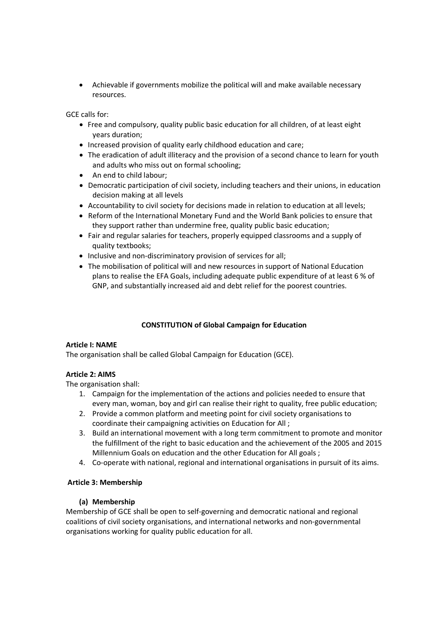• Achievable if governments mobilize the political will and make available necessary resources.

GCE calls for:

- Free and compulsory, quality public basic education for all children, of at least eight years duration;
- Increased provision of quality early childhood education and care;
- The eradication of adult illiteracy and the provision of a second chance to learn for youth and adults who miss out on formal schooling;
- An end to child labour;
- Democratic participation of civil society, including teachers and their unions, in education decision making at all levels
- Accountability to civil society for decisions made in relation to education at all levels;
- Reform of the International Monetary Fund and the World Bank policies to ensure that they support rather than undermine free, quality public basic education;
- Fair and regular salaries for teachers, properly equipped classrooms and a supply of quality textbooks;
- Inclusive and non-discriminatory provision of services for all;
- The mobilisation of political will and new resources in support of National Education plans to realise the EFA Goals, including adequate public expenditure of at least 6 % of GNP, and substantially increased aid and debt relief for the poorest countries.

# **CONSTITUTION of Global Campaign for Education**

## **Article I: NAME**

The organisation shall be called Global Campaign for Education (GCE).

## **Article 2: AIMS**

The organisation shall:

- 1. Campaign for the implementation of the actions and policies needed to ensure that every man, woman, boy and girl can realise their right to quality, free public education;
- 2. Provide a common platform and meeting point for civil society organisations to coordinate their campaigning activities on Education for All ;
- 3. Build an international movement with a long term commitment to promote and monitor the fulfillment of the right to basic education and the achievement of the 2005 and 2015 Millennium Goals on education and the other Education for All goals ;
- 4. Co-operate with national, regional and international organisations in pursuit of its aims.

## **Article 3: Membership**

## **(a) Membership**

Membership of GCE shall be open to self-governing and democratic national and regional coalitions of civil society organisations, and international networks and non-governmental organisations working for quality public education for all.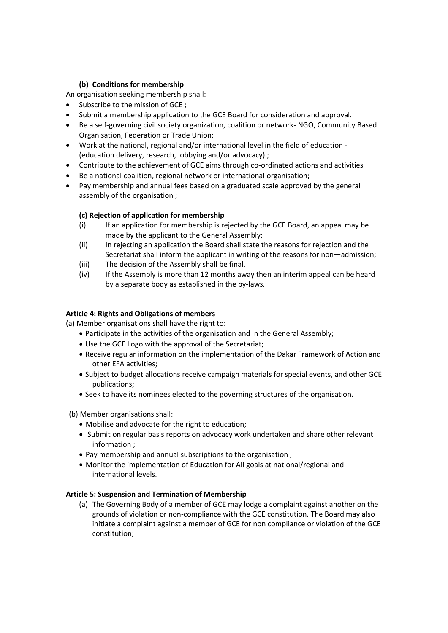# **(b) Conditions for membership**

An organisation seeking membership shall:

- Subscribe to the mission of GCE :
- Submit a membership application to the GCE Board for consideration and approval.
- Be a self-governing civil society organization, coalition or network- NGO, Community Based Organisation, Federation or Trade Union;
- Work at the national, regional and/or international level in the field of education (education delivery, research, lobbying and/or advocacy) ;
- Contribute to the achievement of GCE aims through co-ordinated actions and activities
- Be a national coalition, regional network or international organisation;
- Pay membership and annual fees based on a graduated scale approved by the general assembly of the organisation ;

# **(c) Rejection of application for membership**

- (i) If an application for membership is rejected by the GCE Board, an appeal may be made by the applicant to the General Assembly;
- (ii) In rejecting an application the Board shall state the reasons for rejection and the Secretariat shall inform the applicant in writing of the reasons for non—admission;
- (iii) The decision of the Assembly shall be final.
- (iv) If the Assembly is more than 12 months away then an interim appeal can be heard by a separate body as established in the by-laws.

## **Article 4: Rights and Obligations of members**

(a) Member organisations shall have the right to:

- Participate in the activities of the organisation and in the General Assembly;
- Use the GCE Logo with the approval of the Secretariat;
- Receive regular information on the implementation of the Dakar Framework of Action and other EFA activities;
- Subject to budget allocations receive campaign materials for special events, and other GCE publications;
- Seek to have its nominees elected to the governing structures of the organisation.

(b) Member organisations shall:

- Mobilise and advocate for the right to education;
- Submit on regular basis reports on advocacy work undertaken and share other relevant information ;
- Pay membership and annual subscriptions to the organisation ;
- Monitor the implementation of Education for All goals at national/regional and international levels.

## **Article 5: Suspension and Termination of Membership**

(a) The Governing Body of a member of GCE may lodge a complaint against another on the grounds of violation or non-compliance with the GCE constitution. The Board may also initiate a complaint against a member of GCE for non compliance or violation of the GCE constitution;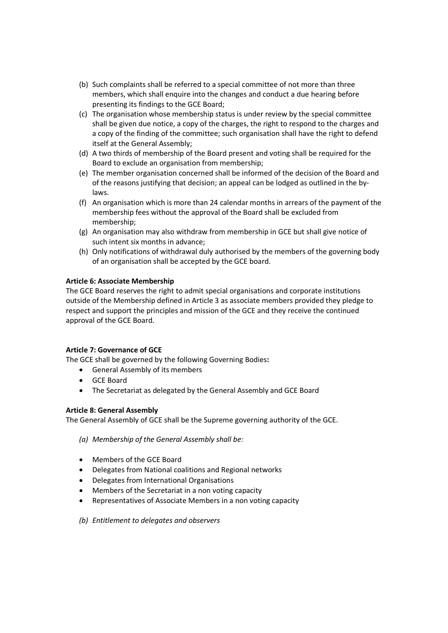- (b) Such complaints shall be referred to a special committee of not more than three members, which shall enquire into the changes and conduct a due hearing before presenting its findings to the GCE Board;
- (c) The organisation whose membership status is under review by the special committee shall be given due notice, a copy of the charges, the right to respond to the charges and a copy of the finding of the committee; such organisation shall have the right to defend itself at the General Assembly;
- (d) A two thirds of membership of the Board present and voting shall be required for the Board to exclude an organisation from membership;
- (e) The member organisation concerned shall be informed of the decision of the Board and of the reasons justifying that decision; an appeal can be lodged as outlined in the bylaws.
- (f) An organisation which is more than 24 calendar months in arrears of the payment of the membership fees without the approval of the Board shall be excluded from membership;
- (g) An organisation may also withdraw from membership in GCE but shall give notice of such intent six months in advance;
- (h) Only notifications of withdrawal duly authorised by the members of the governing body of an organisation shall be accepted by the GCE board.

# **Article 6: Associate Membership**

The GCE Board reserves the right to admit special organisations and corporate institutions outside of the Membership defined in Article 3 as associate members provided they pledge to respect and support the principles and mission of the GCE and they receive the continued approval of the GCE Board.

## **Article 7: Governance of GCE**

The GCE shall be governed by the following Governing Bodies**:** 

- General Assembly of its members
- GCE Board
- The Secretariat as delegated by the General Assembly and GCE Board

## **Article 8: General Assembly**

The General Assembly of GCE shall be the Supreme governing authority of the GCE.

## *(a) Membership of the General Assembly shall be:*

- Members of the GCE Board
- Delegates from National coalitions and Regional networks
- Delegates from International Organisations
- Members of the Secretariat in a non voting capacity
- Representatives of Associate Members in a non voting capacity
- *(b) Entitlement to delegates and observers*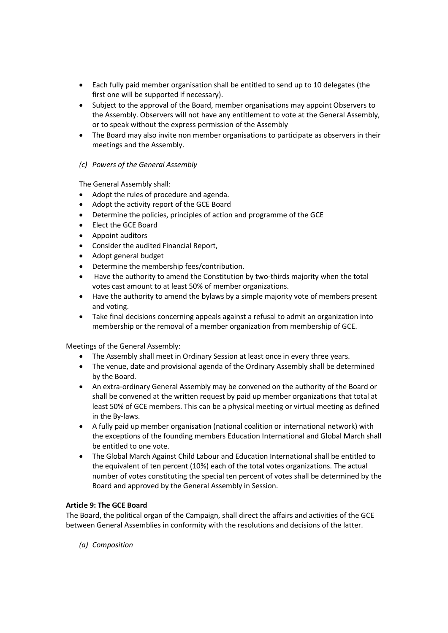- Each fully paid member organisation shall be entitled to send up to 10 delegates (the first one will be supported if necessary).
- Subject to the approval of the Board, member organisations may appoint Observers to the Assembly. Observers will not have any entitlement to vote at the General Assembly, or to speak without the express permission of the Assembly
- The Board may also invite non member organisations to participate as observers in their meetings and the Assembly.

# *(c) Powers of the General Assembly*

The General Assembly shall:

- Adopt the rules of procedure and agenda.
- Adopt the activity report of the GCE Board
- Determine the policies, principles of action and programme of the GCE
- Elect the GCE Board
- Appoint auditors
- Consider the audited Financial Report,
- Adopt general budget
- Determine the membership fees/contribution.
- Have the authority to amend the Constitution by two-thirds majority when the total votes cast amount to at least 50% of member organizations.
- Have the authority to amend the bylaws by a simple majority vote of members present and voting.
- Take final decisions concerning appeals against a refusal to admit an organization into membership or the removal of a member organization from membership of GCE.

Meetings of the General Assembly:

- The Assembly shall meet in Ordinary Session at least once in every three years.
- The venue, date and provisional agenda of the Ordinary Assembly shall be determined by the Board.
- An extra-ordinary General Assembly may be convened on the authority of the Board or shall be convened at the written request by paid up member organizations that total at least 50% of GCE members. This can be a physical meeting or virtual meeting as defined in the By-laws.
- A fully paid up member organisation (national coalition or international network) with the exceptions of the founding members Education International and Global March shall be entitled to one vote.
- The Global March Against Child Labour and Education International shall be entitled to the equivalent of ten percent (10%) each of the total votes organizations. The actual number of votes constituting the special ten percent of votes shall be determined by the Board and approved by the General Assembly in Session.

## **Article 9: The GCE Board**

The Board, the political organ of the Campaign, shall direct the affairs and activities of the GCE between General Assemblies in conformity with the resolutions and decisions of the latter.

*(a) Composition*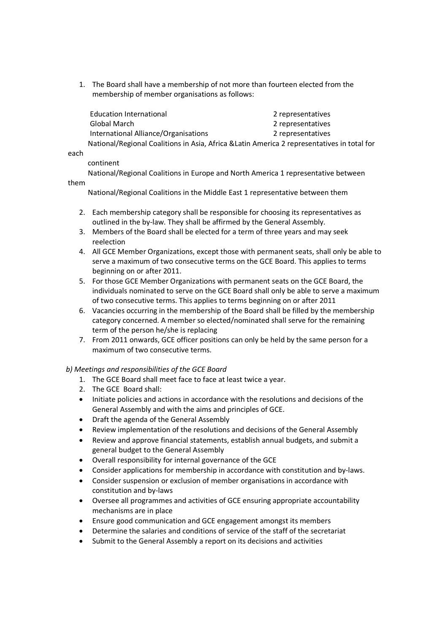1. The Board shall have a membership of not more than fourteen elected from the membership of member organisations as follows:

| Education International                                                                     | 2 representatives<br>2 representatives |  |
|---------------------------------------------------------------------------------------------|----------------------------------------|--|
| Global March                                                                                |                                        |  |
| International Alliance/Organisations                                                        | 2 representatives                      |  |
| National/Regional Coalitions in Asia, Africa & Latin America 2 representatives in total for |                                        |  |

each

### continent

 National/Regional Coalitions in Europe and North America 1 representative between them

National/Regional Coalitions in the Middle East 1 representative between them

- 2. Each membership category shall be responsible for choosing its representatives as outlined in the by-law. They shall be affirmed by the General Assembly.
- 3. Members of the Board shall be elected for a term of three years and may seek reelection
- 4. All GCE Member Organizations, except those with permanent seats, shall only be able to serve a maximum of two consecutive terms on the GCE Board. This applies to terms beginning on or after 2011.
- 5. For those GCE Member Organizations with permanent seats on the GCE Board, the individuals nominated to serve on the GCE Board shall only be able to serve a maximum of two consecutive terms. This applies to terms beginning on or after 2011
- 6. Vacancies occurring in the membership of the Board shall be filled by the membership category concerned. A member so elected/nominated shall serve for the remaining term of the person he/she is replacing
- 7. From 2011 onwards, GCE officer positions can only be held by the same person for a maximum of two consecutive terms.

## *b) Meetings and responsibilities of the GCE Board*

- 1. The GCE Board shall meet face to face at least twice a year.
- 2. The GCE Board shall:
- Initiate policies and actions in accordance with the resolutions and decisions of the General Assembly and with the aims and principles of GCE.
- Draft the agenda of the General Assembly
- Review implementation of the resolutions and decisions of the General Assembly
- Review and approve financial statements, establish annual budgets, and submit a general budget to the General Assembly
- Overall responsibility for internal governance of the GCE
- Consider applications for membership in accordance with constitution and by-laws.
- Consider suspension or exclusion of member organisations in accordance with constitution and by-laws
- Oversee all programmes and activities of GCE ensuring appropriate accountability mechanisms are in place
- Ensure good communication and GCE engagement amongst its members
- Determine the salaries and conditions of service of the staff of the secretariat
- Submit to the General Assembly a report on its decisions and activities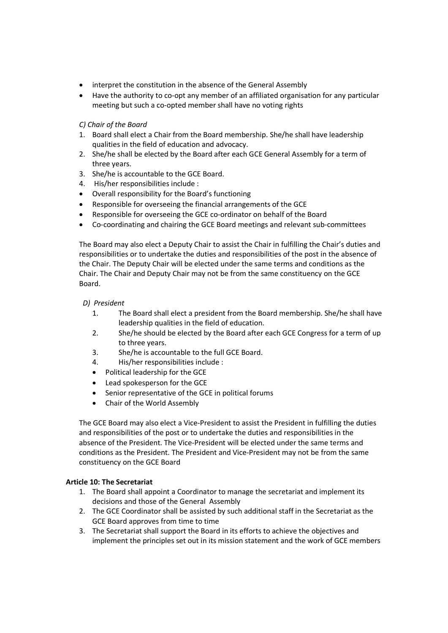- interpret the constitution in the absence of the General Assembly
- Have the authority to co-opt any member of an affiliated organisation for any particular meeting but such a co-opted member shall have no voting rights

## *C) Chair of the Board*

- 1. Board shall elect a Chair from the Board membership. She/he shall have leadership qualities in the field of education and advocacy.
- 2. She/he shall be elected by the Board after each GCE General Assembly for a term of three years.
- 3. She/he is accountable to the GCE Board.
- 4. His/her responsibilities include :
- Overall responsibility for the Board's functioning
- Responsible for overseeing the financial arrangements of the GCE
- Responsible for overseeing the GCE co-ordinator on behalf of the Board
- Co-coordinating and chairing the GCE Board meetings and relevant sub-committees

The Board may also elect a Deputy Chair to assist the Chair in fulfilling the Chair's duties and responsibilities or to undertake the duties and responsibilities of the post in the absence of the Chair. The Deputy Chair will be elected under the same terms and conditions as the Chair. The Chair and Deputy Chair may not be from the same constituency on the GCE Board.

### *D) President*

- 1. The Board shall elect a president from the Board membership. She/he shall have leadership qualities in the field of education.
- 2. She/he should be elected by the Board after each GCE Congress for a term of up to three years.
- 3. She/he is accountable to the full GCE Board.
- 4. His/her responsibilities include :
- Political leadership for the GCE
- Lead spokesperson for the GCE
- Senior representative of the GCE in political forums
- Chair of the World Assembly

The GCE Board may also elect a Vice-President to assist the President in fulfilling the duties and responsibilities of the post or to undertake the duties and responsibilities in the absence of the President. The Vice-President will be elected under the same terms and conditions as the President. The President and Vice-President may not be from the same constituency on the GCE Board

## **Article 10: The Secretariat**

- 1. The Board shall appoint a Coordinator to manage the secretariat and implement its decisions and those of the General Assembly
- 2. The GCE Coordinator shall be assisted by such additional staff in the Secretariat as the GCE Board approves from time to time
- 3. The Secretariat shall support the Board in its efforts to achieve the objectives and implement the principles set out in its mission statement and the work of GCE members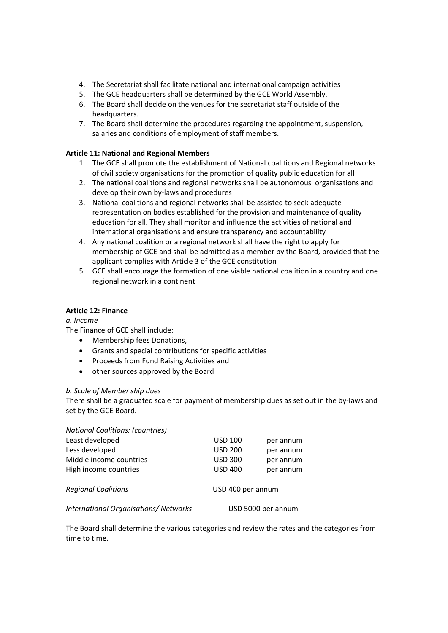- 4. The Secretariat shall facilitate national and international campaign activities
- 5. The GCE headquarters shall be determined by the GCE World Assembly.
- 6. The Board shall decide on the venues for the secretariat staff outside of the headquarters.
- 7. The Board shall determine the procedures regarding the appointment, suspension, salaries and conditions of employment of staff members.

# **Article 11: National and Regional Members**

- 1. The GCE shall promote the establishment of National coalitions and Regional networks of civil society organisations for the promotion of quality public education for all
- 2. The national coalitions and regional networks shall be autonomous organisations and develop their own by-laws and procedures
- 3. National coalitions and regional networks shall be assisted to seek adequate representation on bodies established for the provision and maintenance of quality education for all. They shall monitor and influence the activities of national and international organisations and ensure transparency and accountability
- 4. Any national coalition or a regional network shall have the right to apply for membership of GCE and shall be admitted as a member by the Board, provided that the applicant complies with Article 3 of the GCE constitution
- 5. GCE shall encourage the formation of one viable national coalition in a country and one regional network in a continent

### **Article 12: Finance**

## *a. Income*

The Finance of GCE shall include:

- Membership fees Donations,
- Grants and special contributions for specific activities
- Proceeds from Fund Raising Activities and
- other sources approved by the Board

## *b. Scale of Member ship dues*

There shall be a graduated scale for payment of membership dues as set out in the by-laws and set by the GCE Board.

| <b>National Coalitions: (countries)</b>      |                    |           |
|----------------------------------------------|--------------------|-----------|
| Least developed                              | <b>USD 100</b>     | per annum |
| Less developed                               | <b>USD 200</b>     | per annum |
| Middle income countries                      | <b>USD 300</b>     | per annum |
| High income countries                        | <b>USD 400</b>     | per annum |
| <b>Regional Coalitions</b>                   | USD 400 per annum  |           |
| <b>International Organisations/ Networks</b> | USD 5000 per annum |           |

The Board shall determine the various categories and review the rates and the categories from time to time.